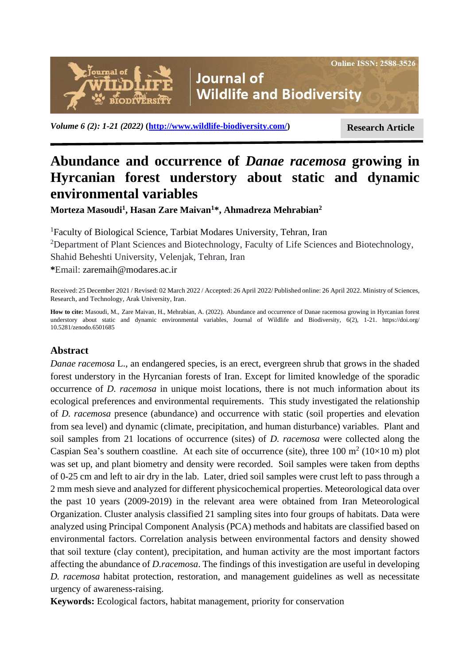

*Volume 6 (2): 1-21 (2022)* [\(http://www.wildlife-biodiversity.com/\)](http://www.wildlife-biodiversity.com/) **Research Article** 

**Online ISSN: 2588-3526** 

# **Abundance and occurrence of** *Danae racemosa* **growing in Hyrcanian forest understory about static and dynamic environmental variables**

**Morteza Masoudi<sup>1</sup> , Hasan Zare Maivan<sup>1</sup>\*, Ahmadreza Mehrabian<sup>2</sup>**

<sup>1</sup>Faculty of Biological Science, Tarbiat Modares University, Tehran, Iran <sup>2</sup>Department of Plant Sciences and Biotechnology, Faculty of Life Sciences and Biotechnology, Shahid Beheshti University, Velenjak, Tehran, Iran **\***Email: zaremaih@modares.ac.ir

Received: 25 December 2021 / Revised: 02 March 2022 / Accepted: 26 April 2022/ Published online: 26 April 2022. Ministry of Sciences, Research, and Technology, Arak University, Iran.

**How to cite:** Masoudi, M., Zare Maivan, H., Mehrabian, A. (2022). Abundance and occurrence of Danae racemosa growing in Hyrcanian forest understory about static and dynamic environmental variables, Journal of Wildlife and Biodiversity, 6(2), 1-21. https://doi.org/ 10.5281/zenodo.6501685

# **Abstract**

*Danae racemosa* L., an endangered species, is an erect, evergreen shrub that grows in the shaded forest understory in the Hyrcanian forests of Iran. Except for limited knowledge of the sporadic occurrence of *D. racemosa* in unique moist locations, there is not much information about its ecological preferences and environmental requirements. This study investigated the relationship of *D. racemosa* presence (abundance) and occurrence with static (soil properties and elevation from sea level) and dynamic (climate, precipitation, and human disturbance) variables. Plant and soil samples from 21 locations of occurrence (sites) of *D. racemosa* were collected along the Caspian Sea's southern coastline. At each site of occurrence (site), three 100 m<sup>2</sup> (10×10 m) plot was set up, and plant biometry and density were recorded. Soil samples were taken from depths of 0-25 cm and left to air dry in the lab. Later, dried soil samples were crust left to pass through a 2 mm mesh sieve and analyzed for different physicochemical properties. Meteorological data over the past 10 years (2009-2019) in the relevant area were obtained from Iran Meteorological Organization. Cluster analysis classified 21 sampling sites into four groups of habitats. Data were analyzed using Principal Component Analysis (PCA) methods and habitats are classified based on environmental factors. Correlation analysis between environmental factors and density showed that soil texture (clay content), precipitation, and human activity are the most important factors affecting the abundance of *D.racemosa*. The findings of this investigation are useful in developing *D. racemosa* habitat protection, restoration, and management guidelines as well as necessitate urgency of awareness-raising.

**Keywords:** Ecological factors, habitat management, priority for conservation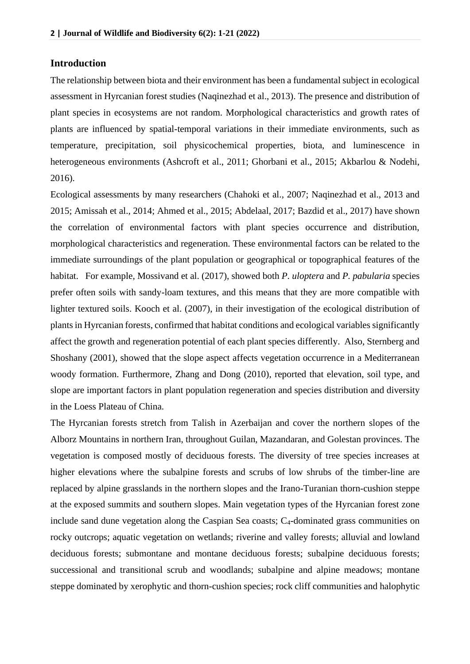## **Introduction**

The relationship between biota and their environment has been a fundamental subject in ecological assessment in Hyrcanian forest studies (Naqinezhad et al., 2013). The presence and distribution of plant species in ecosystems are not random. Morphological characteristics and growth rates of plants are influenced by spatial-temporal variations in their immediate environments, such as temperature, precipitation, soil physicochemical properties, biota, and luminescence in heterogeneous environments (Ashcroft et al., 2011; Ghorbani et al., 2015; Akbarlou & Nodehi, 2016).

Ecological assessments by many researchers (Chahoki et al., 2007; Naqinezhad et al., 2013 and 2015; Amissah et al., 2014; Ahmed et al., 2015; Abdelaal, 2017; Bazdid et al., 2017) have shown the correlation of environmental factors with plant species occurrence and distribution, morphological characteristics and regeneration. These environmental factors can be related to the immediate surroundings of the plant population or geographical or topographical features of the habitat. For example, Mossivand et al. (2017), showed both *P. uloptera* and *P. pabularia* species prefer often soils with sandy-loam textures, and this means that they are more compatible with lighter textured soils. Kooch et al. (2007), in their investigation of the ecological distribution of plants in Hyrcanian forests, confirmed that habitat conditions and ecological variables significantly affect the growth and regeneration potential of each plant species differently. Also, Sternberg and Shoshany (2001), showed that the slope aspect affects vegetation occurrence in a Mediterranean woody formation. Furthermore, Zhang and Dong (2010), reported that elevation, soil type, and slope are important factors in plant population regeneration and species distribution and diversity in the Loess Plateau of China.

The Hyrcanian forests stretch from Talish in Azerbaijan and cover the northern slopes of the Alborz Mountains in northern Iran, throughout Guilan, Mazandaran, and Golestan provinces. The vegetation is composed mostly of deciduous forests. The diversity of tree species increases at higher elevations where the subalpine forests and scrubs of low shrubs of the timber-line are replaced by alpine grasslands in the northern slopes and the Irano-Turanian thorn-cushion steppe at the exposed summits and southern slopes. Main vegetation types of the Hyrcanian forest zone include sand dune vegetation along the Caspian Sea coasts; C<sub>4</sub>-dominated grass communities on rocky outcrops; aquatic vegetation on wetlands; riverine and valley forests; alluvial and lowland deciduous forests; submontane and montane deciduous forests; subalpine deciduous forests; successional and transitional scrub and woodlands; subalpine and alpine meadows; montane steppe dominated by xerophytic and thorn-cushion species; rock cliff communities and halophytic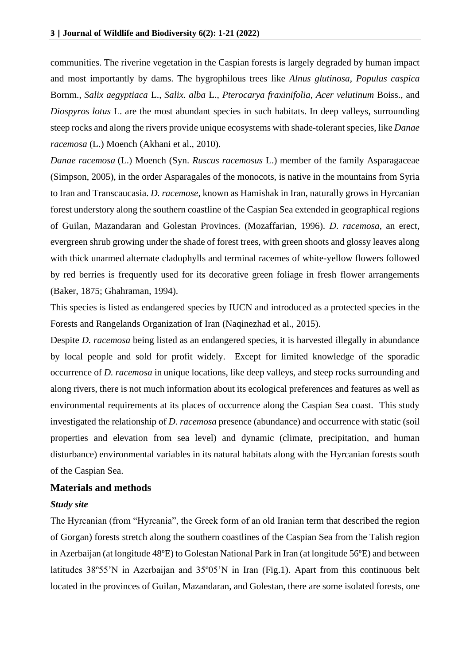communities. The riverine vegetation in the Caspian forests is largely degraded by human impact and most importantly by dams. The hygrophilous trees like *Alnus glutinosa*, *Populus caspica* Bornm., *Salix aegyptiaca* L., *Salix. alba* L., *Pterocarya fraxinifolia*, *Acer velutinum* Boiss., and *Diospyros lotus* L. are the most abundant species in such habitats. In deep valleys, surrounding steep rocks and along the rivers provide unique ecosystems with shade-tolerant species, like *Danae racemosa* (L.) Moench (Akhani et al., 2010).

*Danae racemosa* (L.) Moench (Syn. *Ruscus racemosus* L.) member of the family Asparagaceae (Simpson, 2005), in the order Asparagales of the monocots, is native in the mountains from Syria to Iran and Transcaucasia. *D. racemose,* known as Hamishak in Iran, naturally grows in Hyrcanian forest understory along the southern coastline of the Caspian Sea extended in geographical regions of Guilan, Mazandaran and Golestan Provinces. (Mozaffarian, 1996). *D. racemosa*, an erect, evergreen shrub growing under the shade of forest trees, with green shoots and glossy leaves along with thick unarmed alternate cladophylls and terminal racemes of white-yellow flowers followed by red berries is frequently used for its decorative green foliage in fresh flower arrangements (Baker, 1875; Ghahraman, 1994).

This species is listed as endangered species by IUCN and introduced as a protected species in the Forests and Rangelands Organization of Iran (Naqinezhad et al., 2015).

Despite *D. racemosa* being listed as an endangered species, it is harvested illegally in abundance by local people and sold for profit widely. Except for limited knowledge of the sporadic occurrence of *D. racemosa* in unique locations, like deep valleys, and steep rocks surrounding and along rivers, there is not much information about its ecological preferences and features as well as environmental requirements at its places of occurrence along the Caspian Sea coast. This study investigated the relationship of *D. racemosa* presence (abundance) and occurrence with static (soil properties and elevation from sea level) and dynamic (climate, precipitation, and human disturbance) environmental variables in its natural habitats along with the Hyrcanian forests south of the Caspian Sea.

## **Materials and methods**

#### *Study site*

The Hyrcanian (from "Hyrcania", the Greek form of an old Iranian term that described the region of Gorgan) forests stretch along the southern coastlines of the Caspian Sea from the Talish region in Azerbaijan (at longitude 48ºE) to Golestan National Park in Iran (at longitude 56ºE) and between latitudes 38º55'N in Azerbaijan and 35º05'N in Iran (Fig.1). Apart from this continuous belt located in the provinces of Guilan, Mazandaran, and Golestan, there are some isolated forests, one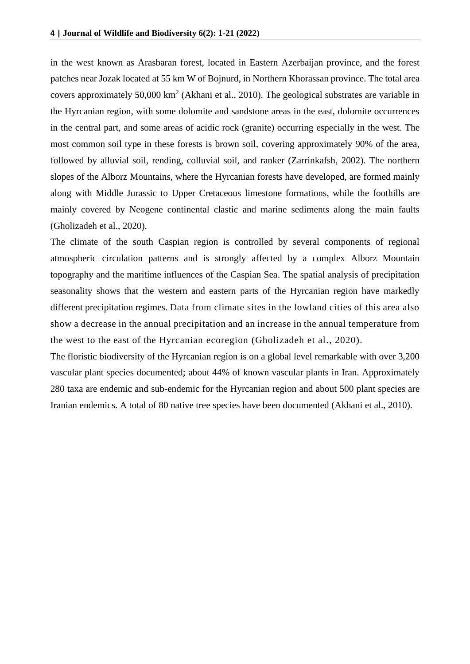in the west known as Arasbaran forest, located in Eastern Azerbaijan province, and the forest patches near Jozak located at 55 km W of Bojnurd, in Northern Khorassan province. The total area covers approximately 50,000  $km^2$  (Akhani et al., 2010). The geological substrates are variable in the Hyrcanian region, with some dolomite and sandstone areas in the east, dolomite occurrences in the central part, and some areas of acidic rock (granite) occurring especially in the west. The most common soil type in these forests is brown soil, covering approximately 90% of the area, followed by alluvial soil, rending, colluvial soil, and ranker (Zarrinkafsh, 2002). The northern slopes of the Alborz Mountains, where the Hyrcanian forests have developed, are formed mainly along with Middle Jurassic to Upper Cretaceous limestone formations, while the foothills are mainly covered by Neogene continental clastic and marine sediments along the main faults (Gholizadeh et al., 2020).

The climate of the south Caspian region is controlled by several components of regional atmospheric circulation patterns and is strongly affected by a complex Alborz Mountain topography and the maritime influences of the Caspian Sea. The spatial analysis of precipitation seasonality shows that the western and eastern parts of the Hyrcanian region have markedly different precipitation regimes. Data from climate sites in the lowland cities of this area also show a decrease in the annual precipitation and an increase in the annual temperature from the west to the east of the Hyrcanian ecoregion (Gholizadeh et al., 2020).

The floristic biodiversity of the Hyrcanian region is on a global level remarkable with over 3,200 vascular plant species documented; about 44% of known vascular plants in Iran. Approximately 280 taxa are endemic and sub-endemic for the Hyrcanian region and about 500 plant species are Iranian endemics. A total of 80 native tree species have been documented (Akhani et al., 2010).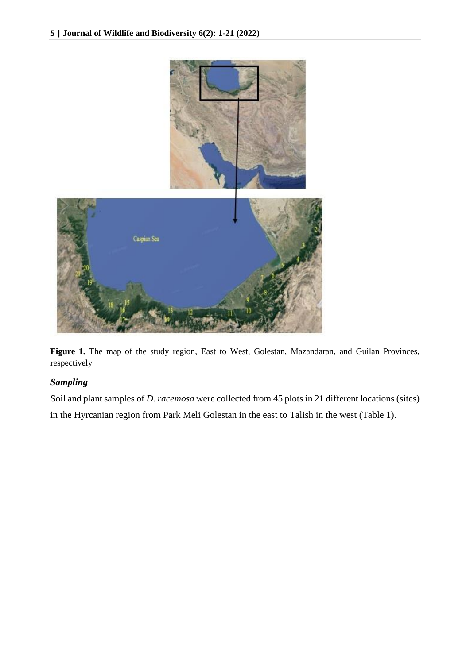

Figure 1. The map of the study region, East to West, Golestan, Mazandaran, and Guilan Provinces, respectively

# *Sampling*

Soil and plant samples of *D. racemosa* were collected from 45 plots in 21 different locations (sites) in the Hyrcanian region from Park Meli Golestan in the east to Talish in the west (Table 1).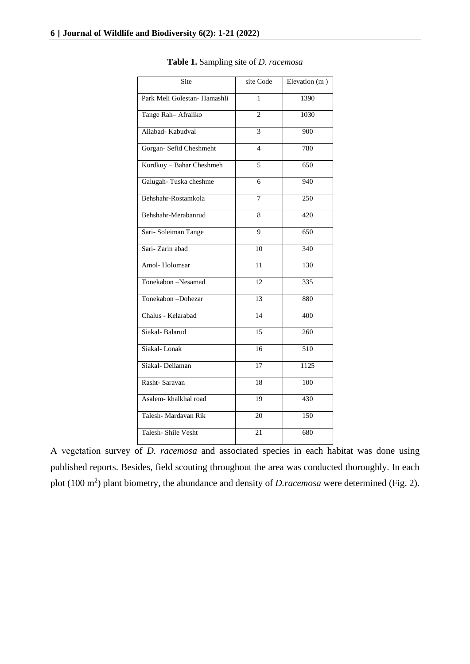| Site                         | site Code       | Elevation (m)    |
|------------------------------|-----------------|------------------|
| Park Meli Golestan- Hamashli | 1               | 1390             |
| Tange Rah-Afraliko           | $\overline{2}$  | 1030             |
| Aliabad-Kabudval             | 3               | 900              |
| Gorgan- Sefid Cheshmeht      | $\overline{4}$  | 780              |
| Kordkuy - Bahar Cheshmeh     | 5               | 650              |
| Galugah-Tuska cheshme        | 6               | 940              |
| Behshahr-Rostamkola          | 7               | 250              |
| Behshahr-Merabanrud          | 8               | 420              |
| Sari-Soleiman Tange          | 9               | 650              |
| Sari-Zarin abad              | 10              | 340              |
| Amol-Holomsar                | 11              | 130              |
| Tonekabon -Nesamad           | 12              | 335              |
| Tonekabon-Dohezar            | 13              | 880              |
| Chalus - Kelarabad           | $\overline{14}$ | 400              |
| Siakal-Balarud               | 15              | 260              |
| Siakal-Lonak                 | 16              | $\overline{510}$ |
| Siakal-Deilaman              | 17              | 1125             |
| Rasht-Saravan                | 18              | 100              |
| Asalem-khalkhal road         | 19              | 430              |
| Talesh- Mardavan Rik         | 20              | 150              |
| Talesh-Shile Vesht           | 21              | 680              |

**Table 1.** Sampling site of *D. racemosa*

A vegetation survey of *D. racemosa* and associated species in each habitat was done using published reports. Besides, field scouting throughout the area was conducted thoroughly. In each plot  $(100 \text{ m}^2)$  plant biometry, the abundance and density of *D.racemosa* were determined (Fig. 2).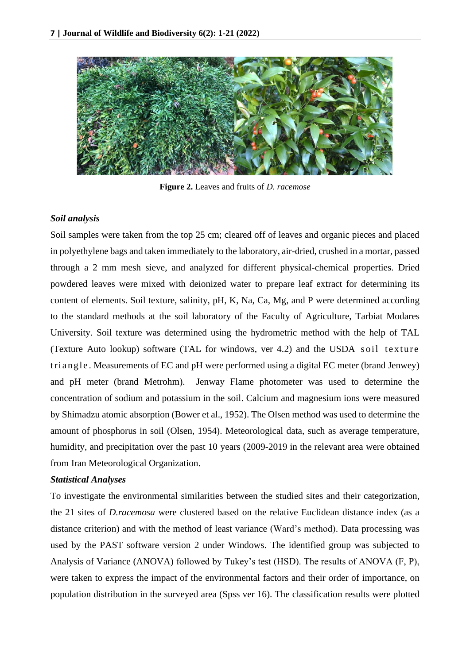

**Figure 2.** Leaves and fruits of *D. racemose* 

## *Soil analysis*

Soil samples were taken from the top 25 cm; cleared off of leaves and organic pieces and placed in polyethylene bags and taken immediately to the laboratory, air-dried, crushed in a mortar, passed through a 2 mm mesh sieve, and analyzed for different physical-chemical properties. Dried powdered leaves were mixed with deionized water to prepare leaf extract for determining its content of elements. Soil texture, salinity, pH, K, Na, Ca, Mg, and P were determined according to the standard methods at the soil laboratory of the Faculty of Agriculture, Tarbiat Modares University. Soil texture was determined using the hydrometric method with the help of TAL (Texture Auto lookup) software (TAL for windows, ver 4.2) and the USDA soil texture tri angle. Measurements of EC and pH were performed using a digital EC meter (brand Jenwey) and pH meter (brand Metrohm). Jenway Flame photometer was used to determine the concentration of sodium and potassium in the soil. Calcium and magnesium ions were measured by Shimadzu atomic absorption (Bower et al., 1952). The Olsen method was used to determine the amount of phosphorus in soil (Olsen, 1954). Meteorological data, such as average temperature, humidity, and precipitation over the past 10 years (2009-2019 in the relevant area were obtained from Iran Meteorological Organization.

## *Statistical Analyses*

To investigate the environmental similarities between the studied sites and their categorization, the 21 sites of *D.racemosa* were clustered based on the relative Euclidean distance index (as a distance criterion) and with the method of least variance (Ward's method). Data processing was used by the PAST software version 2 under Windows. The identified group was subjected to Analysis of Variance (ANOVA) followed by Tukey's test (HSD). The results of ANOVA (F, P), were taken to express the impact of the environmental factors and their order of importance, on population distribution in the surveyed area (Spss ver 16). The classification results were plotted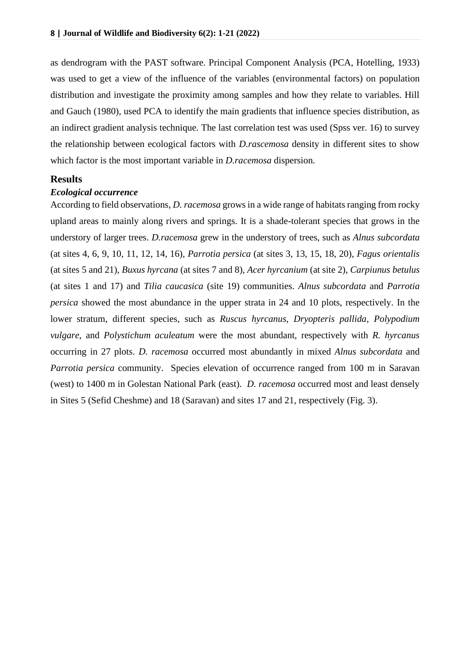as dendrogram with the PAST software. Principal Component Analysis (PCA, Hotelling, 1933) was used to get a view of the influence of the variables (environmental factors) on population distribution and investigate the proximity among samples and how they relate to variables. Hill and Gauch (1980), used PCA to identify the main gradients that influence species distribution, as an indirect gradient analysis technique. The last correlation test was used (Spss ver. 16) to survey the relationship between ecological factors with *D.rascemosa* density in different sites to show which factor is the most important variable in *D.racemosa* dispersion.

#### **Results**

#### *Ecological occurrence*

According to field observations, *D. racemosa* grows in a wide range of habitats ranging from rocky upland areas to mainly along rivers and springs. It is a shade-tolerant species that grows in the understory of larger trees. *D.racemosa* grew in the understory of trees, such as *Alnus subcordata* (at sites 4, 6, 9, 10, 11, 12, 14, 16), *Parrotia persica* (at sites 3, 13, 15, 18, 20), *Fagus orientalis* (at sites 5 and 21), *Buxus hyrcana* (at sites 7 and 8), *Acer hyrcanium* (at site 2), *Carpiunus betulus* (at sites 1 and 17) and *Tilia caucasica* (site 19) communities. *Alnus subcordata* and *Parrotia persica* showed the most abundance in the upper strata in 24 and 10 plots, respectively. In the lower stratum, different species, such as *Ruscus hyrcanus*, *Dryopteris pallida*, *Polypodium vulgare*, and *Polystichum aculeatum* were the most abundant, respectively with *R. hyrcanus* occurring in 27 plots. *D. racemosa* occurred most abundantly in mixed *Alnus subcordata* and *Parrotia persica* community. Species elevation of occurrence ranged from 100 m in Saravan (west) to 1400 m in Golestan National Park (east). *D. racemosa* occurred most and least densely in Sites 5 (Sefid Cheshme) and 18 (Saravan) and sites 17 and 21, respectively (Fig. 3).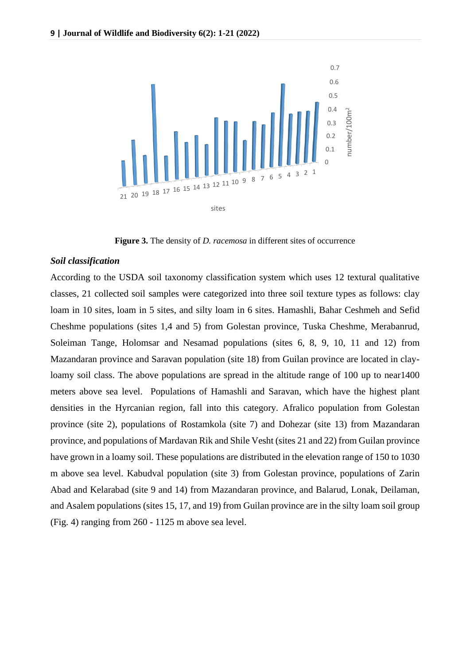

**Figure 3.** The density of *D. racemosa* in different sites of occurrence

#### *Soil classification*

According to the USDA soil taxonomy classification system which uses 12 textural qualitative classes, 21 collected soil samples were categorized into three soil texture types as follows: clay loam in 10 sites, loam in 5 sites, and silty loam in 6 sites. Hamashli, Bahar Ceshmeh and Sefid Cheshme populations (sites 1,4 and 5) from Golestan province, Tuska Cheshme, Merabanrud, Soleiman Tange, Holomsar and Nesamad populations (sites 6, 8, 9, 10, 11 and 12) from Mazandaran province and Saravan population (site 18) from Guilan province are located in clayloamy soil class. The above populations are spread in the altitude range of 100 up to near 1400 meters above sea level. Populations of Hamashli and Saravan, which have the highest plant densities in the Hyrcanian region, fall into this category. Afralico population from Golestan province (site 2), populations of Rostamkola (site 7) and Dohezar (site 13) from Mazandaran province, and populations of Mardavan Rik and Shile Vesht (sites 21 and 22) from Guilan province have grown in a loamy soil. These populations are distributed in the elevation range of 150 to 1030 m above sea level. Kabudval population (site 3) from Golestan province, populations of Zarin Abad and Kelarabad (site 9 and 14) from Mazandaran province, and Balarud, Lonak, Deilaman, and Asalem populations (sites 15, 17, and 19) from Guilan province are in the silty loam soil group (Fig. 4) ranging from 260 - 1125 m above sea level.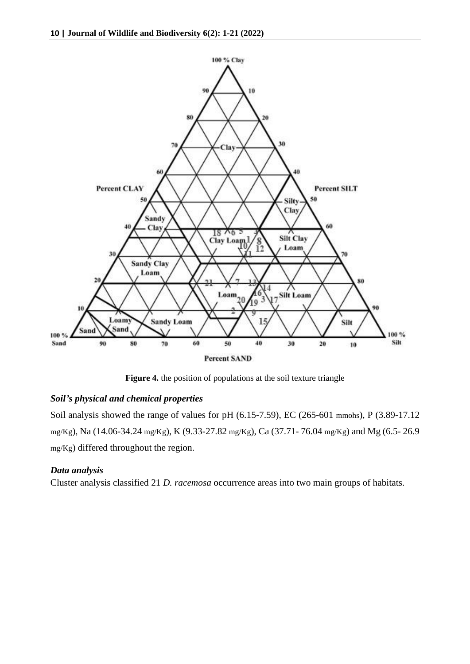

**Figure 4.** the position of populations at the soil texture triangle

## *Soil's physical and chemical properties*

Soil analysis showed the range of values for pH (6.15-7.59), EC (265-601 mmohs), P (3.89-17.12 mg/Kg), Na (14.06-34.24 mg/Kg), K (9.33-27.82 mg/Kg), Ca (37.71- 76.04 mg/Kg) and Mg (6.5- 26.9 mg/Kg) differed throughout the region.

## *Data analysis*

Cluster analysis classified 21 *D. racemosa* occurrence areas into two main groups of habitats.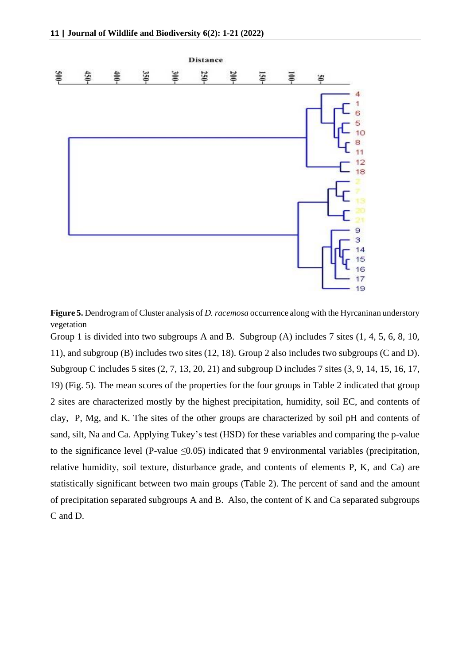

**Figure 5.** Dendrogram of Cluster analysis of *D. racemosa* occurrence along with the Hyrcaninan understory vegetation

Group 1 is divided into two subgroups A and B. Subgroup (A) includes 7 sites (1, 4, 5, 6, 8, 10, 11), and subgroup (B) includes two sites (12, 18). Group 2 also includes two subgroups (C and D). Subgroup C includes 5 sites (2, 7, 13, 20, 21) and subgroup D includes 7 sites (3, 9, 14, 15, 16, 17, 19) (Fig. 5). The mean scores of the properties for the four groups in Table 2 indicated that group 2 sites are characterized mostly by the highest precipitation, humidity, soil EC, and contents of clay, P, Mg, and K. The sites of the other groups are characterized by soil pH and contents of sand, silt, Na and Ca. Applying Tukey's test (HSD) for these variables and comparing the p-value to the significance level (P-value  $\leq 0.05$ ) indicated that 9 environmental variables (precipitation, relative humidity, soil texture, disturbance grade, and contents of elements P, K, and Ca) are statistically significant between two main groups (Table 2). The percent of sand and the amount of precipitation separated subgroups A and B. Also, the content of K and Ca separated subgroups C and D.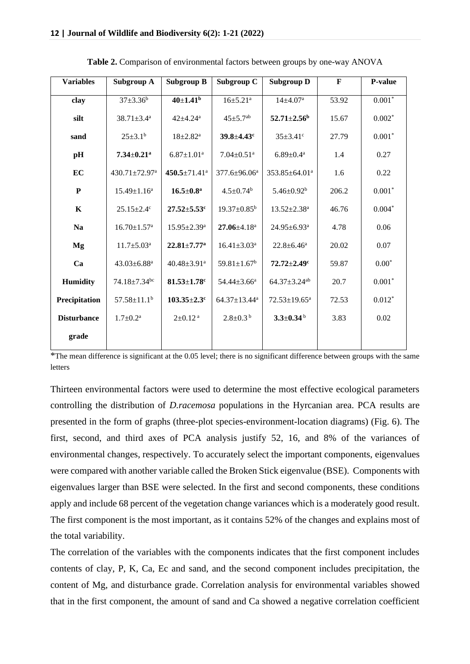| <b>Variables</b>   | Subgroup A                      | <b>Subgroup B</b>              | Subgroup C                    | <b>Subgroup D</b>              | $\mathbf{F}$ | P-value  |
|--------------------|---------------------------------|--------------------------------|-------------------------------|--------------------------------|--------------|----------|
| clay               | $37 + 3.36^b$                   | $40{\pm}1.41^{\rm b}$          | $16 \pm 5.21$ <sup>a</sup>    | $14{\pm}4.07^{\rm a}$          | 53.92        | $0.001*$ |
| silt               | $38.71 + 3.4^a$                 | $42 + 4.24$ <sup>a</sup>       | $45 + 5.7$ <sup>ab</sup>      | $52.71 + 2.56^{\mathrm{b}}$    | 15.67        | $0.002*$ |
| sand               | $25 \pm 3.1^b$                  | $18 \pm 2.82^{\text{a}}$       | $39.8 \pm 4.43$ c             | $35 \pm 3.41$ °                | 27.79        | $0.001*$ |
| pH                 | $7.34 \pm 0.21$ <sup>a</sup>    | $6.87 \pm 1.01^a$              | $7.04 \pm 0.51$ <sup>a</sup>  | $6.89 \pm 0.4^a$               | 1.4          | 0.27     |
| EC                 | $430.71 \pm 72.97$ <sup>a</sup> | $450.5 \pm 71.41$ <sup>a</sup> | 377.6±96.06 <sup>a</sup>      | 353.85±64.01 <sup>a</sup>      | 1.6          | 0.22     |
| ${\bf P}$          | $15.49 \pm 1.16^a$              | $16.5 \pm 0.8^{\rm a}$         | $4.5 \pm 0.74$ <sup>b</sup>   | $5.46 \pm 0.92^b$              | 206.2        | $0.001*$ |
| K                  | $25.15 \pm 2.4$ <sup>c</sup>    | $27.52 \pm 5.53$ c             | $19.37 \pm 0.85^{\rm b}$      | $13.52 \pm 2.38^a$             | 46.76        | $0.004*$ |
| <b>Na</b>          | $16.70 \pm 1.57$ <sup>a</sup>   | $15.95 \pm 2.39^{\mathrm{a}}$  | $27.06 + 4.18$ <sup>a</sup>   | $24.95 \pm 6.93$ <sup>a</sup>  | 4.78         | 0.06     |
| Mg                 | $11.7 \pm 5.03^{\text{a}}$      | $22.81 \pm 7.77$ <sup>a</sup>  | $16.41 \pm 3.03^a$            | $22.8 \pm 6.46^a$              | 20.02        | 0.07     |
| Ca                 | $43.03 \pm 6.88$ <sup>a</sup>   | 40.48 $\pm$ 3.91 <sup>a</sup>  | $59.81 \pm 1.67$ <sup>b</sup> | $72.72 \pm 2.49$ c             | 59.87        | $0.00*$  |
| <b>Humidity</b>    | $74.18 \pm 7.34$ <sup>bc</sup>  | $81.53 + 1.78$ <sup>c</sup>    | $54.44 \pm 3.66^a$            | $64.37 \pm 3.24$ <sup>ab</sup> | 20.7         | $0.001*$ |
| Precipitation      | $57.58 \pm 11.1^b$              | $103.35 \pm 2.3$ <sup>c</sup>  | $64.37 \pm 13.44^a$           | $72.53 \pm 19.65^a$            | 72.53        | $0.012*$ |
| <b>Disturbance</b> | $1.7 \pm 0.2^{\text{a}}$        | $2\pm0.12$ <sup>a</sup>        | $2.8 \pm 0.3^{\mathrm{b}}$    | $3.3 \pm 0.34$ b               | 3.83         | 0.02     |
| grade              |                                 |                                |                               |                                |              |          |

**Table 2.** Comparison of environmental factors between groups by one-way ANOVA

\*The mean difference is significant at the 0.05 level; there is no significant difference between groups with the same letters

Thirteen environmental factors were used to determine the most effective ecological parameters controlling the distribution of *D.racemosa* populations in the Hyrcanian area. PCA results are presented in the form of graphs (three-plot species-environment-location diagrams) (Fig. 6). The first, second, and third axes of PCA analysis justify 52, 16, and 8% of the variances of environmental changes, respectively. To accurately select the important components, eigenvalues were compared with another variable called the Broken Stick eigenvalue (BSE). Components with eigenvalues larger than BSE were selected. In the first and second components, these conditions apply and include 68 percent of the vegetation change variances which is a moderately good result. The first component is the most important, as it contains 52% of the changes and explains most of the total variability.

The correlation of the variables with the components indicates that the first component includes contents of clay, P, K, Ca, Ec and sand, and the second component includes precipitation, the content of Mg, and disturbance grade. Correlation analysis for environmental variables showed that in the first component, the amount of sand and Ca showed a negative correlation coefficient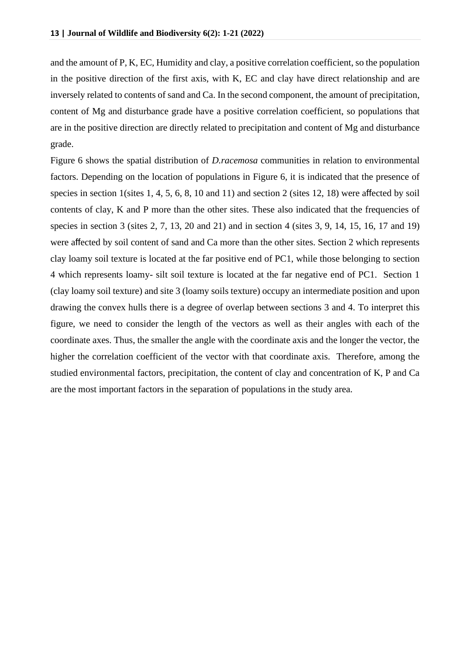and the amount of P, K, EC, Humidity and clay, a positive correlation coefficient, so the population in the positive direction of the first axis, with K, EC and clay have direct relationship and are inversely related to contents of sand and Ca. In the second component, the amount of precipitation, content of Mg and disturbance grade have a positive correlation coefficient, so populations that are in the positive direction are directly related to precipitation and content of Mg and disturbance grade.

Figure 6 shows the spatial distribution of *D.racemosa* communities in relation to environmental factors. Depending on the location of populations in Figure 6, it is indicated that the presence of species in section 1(sites 1, 4, 5, 6, 8, 10 and 11) and section 2 (sites 12, 18) were affected by soil contents of clay, K and P more than the other sites. These also indicated that the frequencies of species in section 3 (sites 2, 7, 13, 20 and 21) and in section 4 (sites 3, 9, 14, 15, 16, 17 and 19) were affected by soil content of sand and Ca more than the other sites. Section 2 which represents clay loamy soil texture is located at the far positive end of PC1, while those belonging to section 4 which represents loamy- silt soil texture is located at the far negative end of PC1. Section 1 (clay loamy soil texture) and site 3 (loamy soils texture) occupy an intermediate position and upon drawing the convex hulls there is a degree of overlap between sections 3 and 4. To interpret this figure, we need to consider the length of the vectors as well as their angles with each of the coordinate axes. Thus, the smaller the angle with the coordinate axis and the longer the vector, the higher the correlation coefficient of the vector with that coordinate axis. Therefore, among the studied environmental factors, precipitation, the content of clay and concentration of K, P and Ca are the most important factors in the separation of populations in the study area.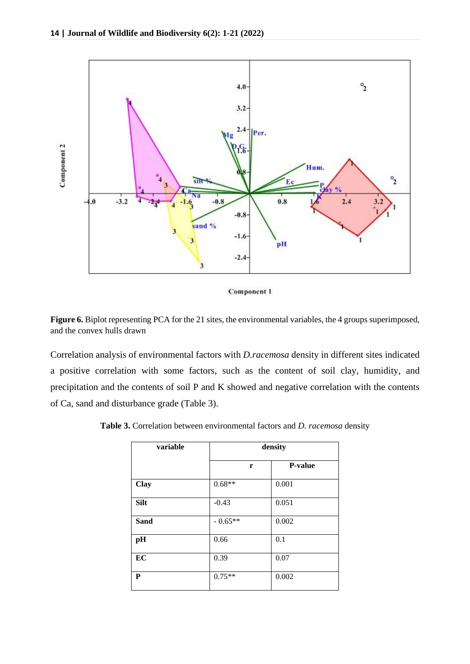

**Component 1** 

Figure 6. Biplot representing PCA for the 21 sites, the environmental variables, the 4 groups superimposed, and the convex hulls drawn

Correlation analysis of environmental factors with *D.racemosa* density in different sites indicated a positive correlation with some factors, such as the content of soil clay, humidity, and precipitation and the contents of soil P and K showed and negative correlation with the contents of Ca, sand and disturbance grade (Table 3).

| variable    |          | density        |
|-------------|----------|----------------|
|             | r        | <b>P-value</b> |
| <b>Clay</b> | $0.68**$ | 0.001          |
| <b>Silt</b> | $-0.43$  | 0.051          |

**Table 3.** Correlation between environmental factors and *D. racemosa* density

| ЮHL  | -v.+J     | U.UJ 1 |
|------|-----------|--------|
| Sand | $-0.65**$ | 0.002  |
| pH   | 0.66      | 0.1    |
| EC   | 0.39      | 0.07   |
| P    | $0.75**$  | 0.002  |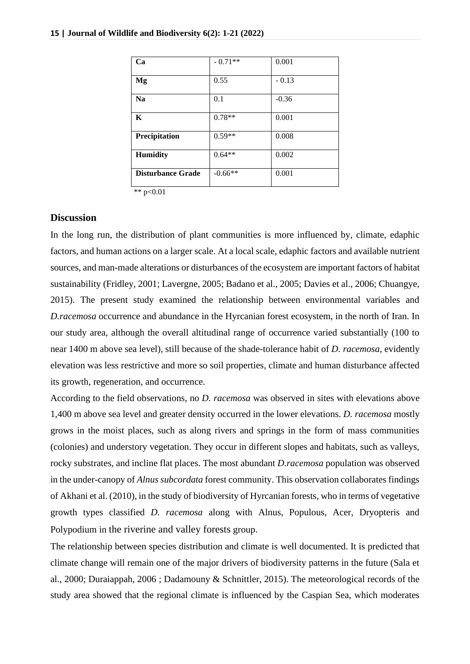| Ca                       | $-0.71**$ | 0.001   |
|--------------------------|-----------|---------|
| Mg                       | 0.55      | $-0.13$ |
| <b>Na</b>                | 0.1       | $-0.36$ |
| K                        | $0.78**$  | 0.001   |
| Precipitation            | $0.59**$  | 0.008   |
| <b>Humidity</b>          | $0.64**$  | 0.002   |
| <b>Disturbance Grade</b> | $-0.66**$ | 0.001   |

\*\*  $p<0.01$ 

## **Discussion**

In the long run, the distribution of plant communities is more influenced by, climate, edaphic factors, and human actions on a larger scale. At a local scale, edaphic factors and available nutrient sources, and man-made alterations or disturbances of the ecosystem are important factors of habitat sustainability (Fridley, 2001; Lavergne, 2005; Badano et al., 2005; Davies et al., 2006; Chuangye, 2015). The present study examined the relationship between environmental variables and *D.racemosa* occurrence and abundance in the Hyrcanian forest ecosystem, in the north of Iran. In our study area, although the overall altitudinal range of occurrence varied substantially (100 to near 1400 m above sea level), still because of the shade-tolerance habit of *D. racemosa*, evidently elevation was less restrictive and more so soil properties, climate and human disturbance affected its growth, regeneration, and occurrence.

According to the field observations, no *D. racemosa* was observed in sites with elevations above 1,400 m above sea level and greater density occurred in the lower elevations. *D. racemosa* mostly grows in the moist places, such as along rivers and springs in the form of mass communities (colonies) and understory vegetation. They occur in different slopes and habitats, such as valleys, rocky substrates, and incline flat places. The most abundant *D.racemosa* population was observed in the under-canopy of *Alnus subcordata* forest community. This observation collaborates findings of Akhani et al. (2010), in the study of biodiversity of Hyrcanian forests, who in terms of vegetative growth types classified *D. racemosa* along with Alnus, Populous, Acer, Dryopteris and Polypodium in the riverine and valley forests group.

The relationship between species distribution and climate is well documented. It is predicted that climate change will remain one of the major drivers of biodiversity patterns in the future (Sala et al., 2000; Duraiappah, 2006 ; Dadamouny & Schnittler, 2015). The meteorological records of the study area showed that the regional climate is influenced by the Caspian Sea, which moderates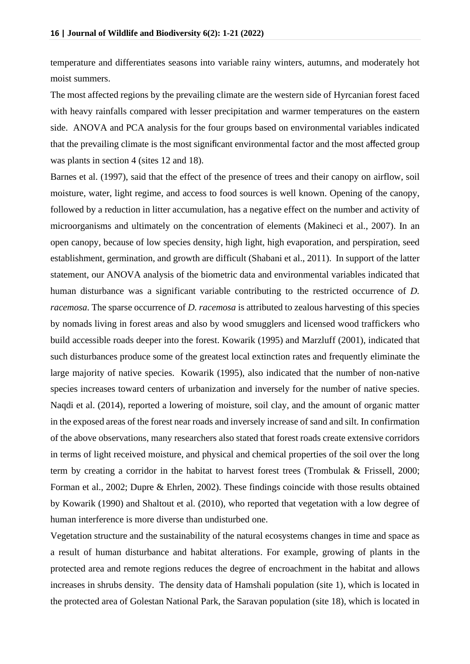temperature and differentiates seasons into variable rainy winters, autumns, and moderately hot moist summers.

The most affected regions by the prevailing climate are the western side of Hyrcanian forest faced with heavy rainfalls compared with lesser precipitation and warmer temperatures on the eastern side. ANOVA and PCA analysis for the four groups based on environmental variables indicated that the prevailing climate is the most significant environmental factor and the most affected group was plants in section 4 (sites 12 and 18).

Barnes et al. (1997), said that the effect of the presence of trees and their canopy on airflow, soil moisture, water, light regime, and access to food sources is well known. Opening of the canopy, followed by a reduction in litter accumulation, has a negative effect on the number and activity of microorganisms and ultimately on the concentration of elements (Makineci et al., 2007). In an open canopy, because of low species density, high light, high evaporation, and perspiration, seed establishment, germination, and growth are difficult (Shabani et al., 2011). In support of the latter statement, our ANOVA analysis of the biometric data and environmental variables indicated that human disturbance was a significant variable contributing to the restricted occurrence of *D. racemosa*. The sparse occurrence of *D. racemosa* is attributed to zealous harvesting of this species by nomads living in forest areas and also by wood smugglers and licensed wood traffickers who build accessible roads deeper into the forest. Kowarik (1995) and Marzluff (2001), indicated that such disturbances produce some of the greatest local extinction rates and frequently eliminate the large majority of native species. Kowarik (1995), also indicated that the number of non-native species increases toward centers of urbanization and inversely for the number of native species. Naqdi et al. (2014), reported a lowering of moisture, soil clay, and the amount of organic matter in the exposed areas of the forest near roads and inversely increase of sand and silt. In confirmation of the above observations, many researchers also stated that forest roads create extensive corridors in terms of light received moisture, and physical and chemical properties of the soil over the long term by creating a corridor in the habitat to harvest forest trees (Trombulak & Frissell, 2000; Forman et al., 2002; Dupre & Ehrlen, 2002). These findings coincide with those results obtained by Kowarik (1990) and Shaltout et al. (2010), who reported that vegetation with a low degree of human interference is more diverse than undisturbed one.

Vegetation structure and the sustainability of the natural ecosystems changes in time and space as a result of human disturbance and habitat alterations. For example, growing of plants in the protected area and remote regions reduces the degree of encroachment in the habitat and allows increases in shrubs density. The density data of Hamshali population (site 1), which is located in the protected area of Golestan National Park, the Saravan population (site 18), which is located in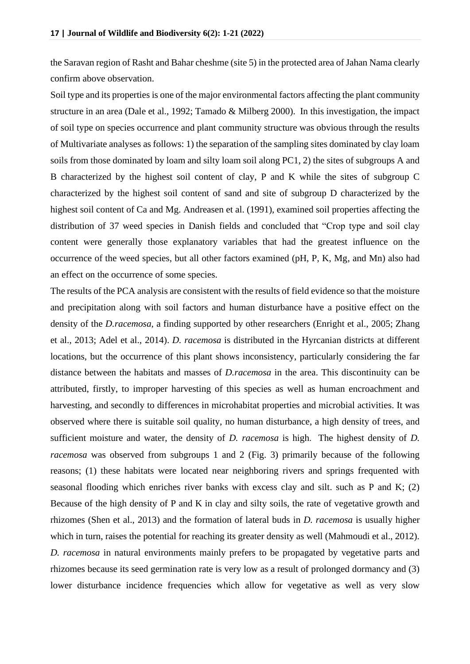the Saravan region of Rasht and Bahar cheshme (site 5) in the protected area of Jahan Nama clearly confirm above observation.

Soil type and its properties is one of the major environmental factors affecting the plant community structure in an area (Dale et al., 1992; Tamado & Milberg 2000). In this investigation, the impact of soil type on species occurrence and plant community structure was obvious through the results of Multivariate analyses as follows: 1) the separation of the sampling sites dominated by clay loam soils from those dominated by loam and silty loam soil along PC1, 2) the sites of subgroups A and B characterized by the highest soil content of clay, P and K while the sites of subgroup C characterized by the highest soil content of sand and site of subgroup D characterized by the highest soil content of Ca and Mg. Andreasen et al. (1991), examined soil properties affecting the distribution of 37 weed species in Danish fields and concluded that "Crop type and soil clay content were generally those explanatory variables that had the greatest influence on the occurrence of the weed species, but all other factors examined (pH, P, K, Mg, and Mn) also had an effect on the occurrence of some species.

The results of the PCA analysis are consistent with the results of field evidence so that the moisture and precipitation along with soil factors and human disturbance have a positive effect on the density of the *D.racemosa*, a finding supported by other researchers (Enright et al., 2005; Zhang et al., 2013; Adel et al., 2014). *D. racemosa* is distributed in the Hyrcanian districts at different locations, but the occurrence of this plant shows inconsistency, particularly considering the far distance between the habitats and masses of *D.racemosa* in the area. This discontinuity can be attributed, firstly, to improper harvesting of this species as well as human encroachment and harvesting, and secondly to differences in microhabitat properties and microbial activities. It was observed where there is suitable soil quality, no human disturbance, a high density of trees, and sufficient moisture and water, the density of *D. racemosa* is high. The highest density of *D. racemosa* was observed from subgroups 1 and 2 (Fig. 3) primarily because of the following reasons; (1) these habitats were located near neighboring rivers and springs frequented with seasonal flooding which enriches river banks with excess clay and silt. such as P and K; (2) Because of the high density of P and K in clay and silty soils, the rate of vegetative growth and rhizomes (Shen et al., 2013) and the formation of lateral buds in *D. racemosa* is usually higher which in turn, raises the potential for reaching its greater density as well (Mahmoudi et al., 2012). *D. racemosa* in natural environments mainly prefers to be propagated by vegetative parts and rhizomes because its seed germination rate is very low as a result of prolonged dormancy and (3) lower disturbance incidence frequencies which allow for vegetative as well as very slow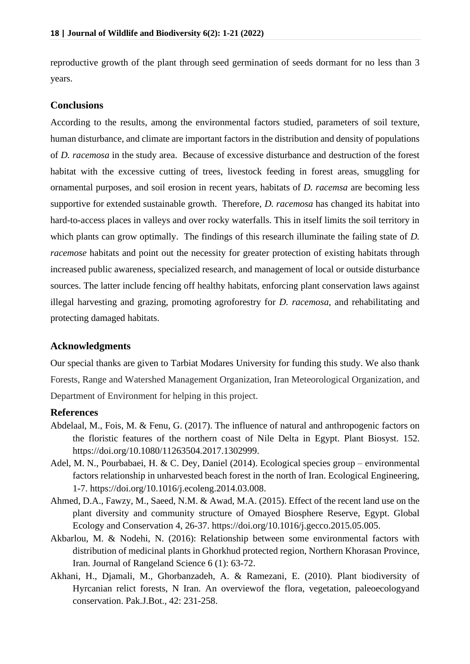reproductive growth of the plant through seed germination of seeds dormant for no less than 3 years.

#### **Conclusions**

According to the results, among the environmental factors studied, parameters of soil texture, human disturbance, and climate are important factors in the distribution and density of populations of *D. racemosa* in the study area. Because of excessive disturbance and destruction of the forest habitat with the excessive cutting of trees, livestock feeding in forest areas, smuggling for ornamental purposes, and soil erosion in recent years, habitats of *D. racemsa* are becoming less supportive for extended sustainable growth. Therefore, *D. racemosa* has changed its habitat into hard-to-access places in valleys and over rocky waterfalls. This in itself limits the soil territory in which plants can grow optimally. The findings of this research illuminate the failing state of *D*. *racemose* habitats and point out the necessity for greater protection of existing habitats through increased public awareness, specialized research, and management of local or outside disturbance sources. The latter include fencing off healthy habitats, enforcing plant conservation laws against illegal harvesting and grazing, promoting agroforestry for *D. racemosa*, and rehabilitating and protecting damaged habitats.

## **Acknowledgments**

Our special thanks are given to Tarbiat Modares University for funding this study. We also thank Forests, Range and Watershed Management Organization, Iran Meteorological Organization, and Department of Environment for helping in this project.

## **References**

- Abdelaal, M., Fois, M. & Fenu, G. (2017). The influence of natural and anthropogenic factors on the floristic features of the northern coast of Nile Delta in Egypt. Plant Biosyst. 152. [https://doi.org/10.1080/11263504.2017.1302999.](https://doi.org/10.1080/11263504.2017.1302999)
- Adel, M. N., Pourbabaei, H. & C. Dey, Daniel (2014). Ecological species group environmental factors relationship in unharvested beach forest in the north of Iran. Ecological Engineering, 1-7. https://doi.org[/10.1016/j.ecoleng.2014.03.008.](https://www.researchgate.net/deref/http%3A%2F%2Fdx.doi.org%2F10.1016%2Fj.ecoleng.2014.03.008)
- Ahmed, D.A., Fawzy, M., Saeed, N.M. & Awad, M.A. (2015). Effect of the recent land use on the plant diversity and community structure of Omayed Biosphere Reserve, Egypt. Global Ecology and Conservation 4, 26-37. https://doi.org[/10.1016/j.gecco.2015.05.005.](https://www.researchgate.net/deref/http%3A%2F%2Fdx.doi.org%2F10.1016%2Fj.gecco.2015.05.005)
- Akbarlou, M. & Nodehi, N. (2016): Relationship between some environmental factors with distribution of medicinal plants in Ghorkhud protected region, Northern Khorasan Province, Iran. Journal of Rangeland Science 6 (1): 63-72.
- Akhani, H., Djamali, M., Ghorbanzadeh, A. & Ramezani, E. (2010). Plant biodiversity of Hyrcanian relict forests, N Iran. An overviewof the flora, vegetation, paleoecologyand conservation. Pak.J.Bot., 42: 231-258.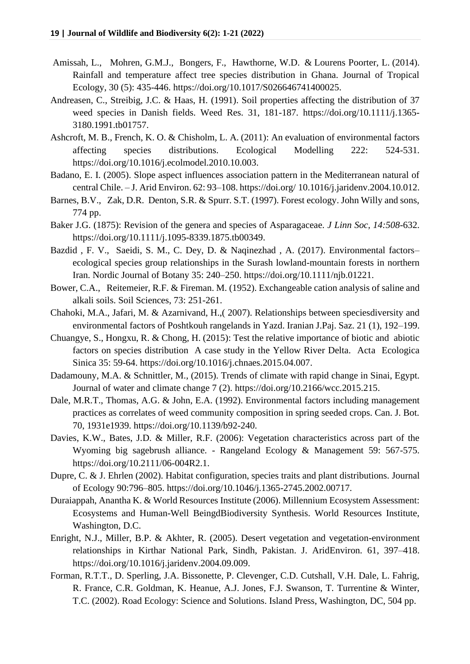- [Amissah,](https://www.cambridge.org/core/search?filters%5BauthorTerms%5D=Lucy%20Amissah&eventCode=SE-AU) L., [Mohren,](https://www.cambridge.org/core/search?filters%5BauthorTerms%5D=Godefridus%20M.%20J.%20Mohren&eventCode=SE-AU) G.M.J., [Bongers,](https://www.cambridge.org/core/search?filters%5BauthorTerms%5D=Frans%20Bongers&eventCode=SE-AU) F., [Hawthorne,](https://www.cambridge.org/core/search?filters%5BauthorTerms%5D=William%20D.%20Hawthorne&eventCode=SE-AU) W.D. & [Lourens](https://www.cambridge.org/core/search?filters%5BauthorTerms%5D=Lourens%20Poorter&eventCode=SE-AU) Poorter, L. (2014). Rainfall and temperature affect tree species distribution in Ghana. Journal of Tropical Ecology, 30 (5): 435-446. https://doi.org[/10.1017/S026646741400025.](https://doi.org/10.1017/S026646741400025X)
- Andreasen, C., Streibig, J.C. & Haas, H. (1991). Soil properties affecting the distribution of 37 weed species in Danish fields. Weed Res. 31, 181-187. [https://doi.org/10.1111/j.1365-](https://doi.org/10.1111/j.1365-3180.1991.tb01757.x) [3180.1991.tb01757.](https://doi.org/10.1111/j.1365-3180.1991.tb01757.x)
- Ashcroft, M. B., French, K. O. & Chisholm, L. A. (2011): An evaluation of environmental factors affecting species distributions. Ecological Modelling 222: 524-531. [https://doi.org/10.1016/j.ecolmodel.2010.10.003.](https://doi.org/10.1016/j.ecolmodel.2010.10.003)
- Badano, E. I. (2005). Slope aspect influences association pattern in the Mediterranean natural of central Chile. – J. Arid Environ. 62: 93–108. https://doi.org/ [10.1016/j.jaridenv.2004.10.012.](https://www.researchgate.net/deref/http%3A%2F%2Fdx.doi.org%2F10.1016%2Fj.jaridenv.2004.10.012)
- Barnes, B.V., Zak, D.R. Denton, S.R. & Spurr. S.T. (1997). Forest ecology. John Willy and sons, 774 pp.
- Baker J.G. (1875): Revision of the genera and species of Asparagaceae. *J Linn Soc, 14:508*-632. [https://doi.org/10.1111/j.1095-8339.1875.tb00349.](https://doi.org/10.1111/j.1095-8339.1875.tb00349.x)
- Bazdid, F. V., Saeidi, S. M., C. Dey, D. & Naqinezhad, A. (2017). Environmental factorsecological species group relationships in the Surash lowland-mountain forests in northern Iran. Nordic Journal of Botany 35: 240–250. [https://doi.org/10.1111/njb.01221.](https://doi.org/10.1111/njb.01221)
- Bower, C.A., Reitemeier, R.F. & Fireman. M. (1952). Exchangeable cation analysis of saline and alkali soils. Soil Sciences, 73: 251-261.
- Chahoki, M.A., Jafari, M. & Azarnivand, H.,( 2007). Relationships between speciesdiversity and environmental factors of Poshtkouh rangelands in Yazd. Iranian J.Paj. Saz. 21 (1), 192–199.
- Chuangye, S., Hongxu, R. & Chong, H. (2015): Test the relative importance of biotic and abiotic factors on species distribution A case study in the Yellow River Delta. Acta Ecologica Sinica 35: 59-64. [https://doi.org/10.1016/j.chnaes.2015.04.007.](https://doi.org/10.1016/j.chnaes.2015.04.007)
- Dadamouny, M.A. & Schnittler, M., (2015). Trends of climate with rapid change in Sinai, Egypt. Journal of water and climate change 7 (2). [https://doi.org/10.2166/wcc.2015.215.](https://doi.org/10.2166/wcc.2015.215)
- Dale, M.R.T., Thomas, A.G. & John, E.A. (1992). Environmental factors including management practices as correlates of weed community composition in spring seeded crops. Can. J. Bot. 70, 1931e1939. https://doi.org[/10.1139/b92-240.](https://www.researchgate.net/deref/http%3A%2F%2Fdx.doi.org%2F10.1139%2Fb92-240)
- Davies, K.W., Bates, J.D. & Miller, R.F. (2006): Vegetation characteristics across part of the Wyoming big sagebrush alliance. - Rangeland Ecology & Management 59: 567-575. [https://doi.org/10.2111/06-004R2.1.](https://doi.org/10.2111/06-004R2.1)
- Dupre, C. & J. Ehrlen (2002). Habitat configuration, species traits and plant distributions. Journal of Ecology 90:796–805. [https://doi.org/10.1046/j.1365-2745.2002.00717.](https://doi.org/10.1046/j.1365-2745.2002.00717.x)
- Duraiappah, Anantha K. & World Resources Institute (2006). Millennium Ecosystem Assessment: Ecosystems and Human-Well BeingdBiodiversity Synthesis. World Resources Institute, Washington, D.C.
- Enright, N.J., Miller, B.P. & Akhter, R. (2005). Desert vegetation and vegetation-environment relationships in Kirthar National Park, Sindh, Pakistan. J. AridEnviron. 61, 397–418. [https://doi.org/10.1016/j.jaridenv.2004.09.009.](https://doi.org/10.1016/j.jaridenv.2004.09.009)
- Forman, R.T.T., D. Sperling, J.A. Bissonette, P. Clevenger, C.D. Cutshall, V.H. Dale, L. Fahrig, R. France, C.R. Goldman, K. Heanue, A.J. Jones, F.J. Swanson, T. Turrentine & Winter, T.C. (2002). Road Ecology: Science and Solutions. Island Press, Washington, DC, 504 pp.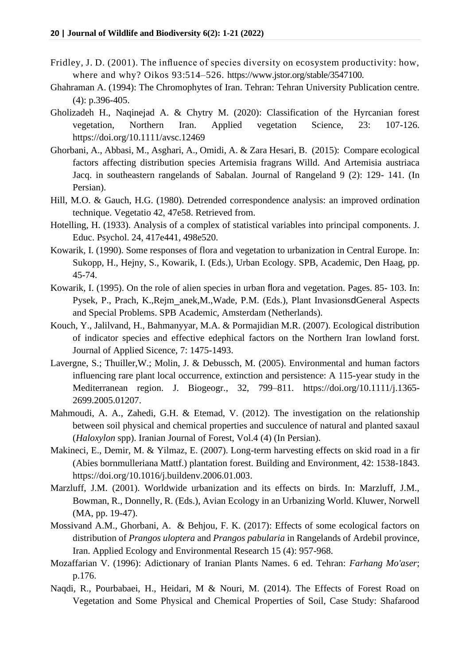- Fridley, J. D. (2001). The influence of species diversity on ecosystem productivity: how, where and why? Oikos 93:514–526. [https://www.jstor.org/stable/3547100.](https://www.jstor.org/stable/3547100)
- Ghahraman A. (1994): The Chromophytes of Iran. Tehran: Tehran University Publication centre. (4): p.396-405.
- Gholizadeh H., Naqinejad A. & Chytry M. (2020): Classification of the Hyrcanian forest vegetation, Northern Iran. Applied vegetation Science, 23: 107-126. <https://doi.org/10.1111/avsc.12469>
- Ghorbani, A., Abbasi, M., Asghari, A., Omidi, A. & Zara Hesari, B. (2015): Compare ecological factors affecting distribution species Artemisia fragrans Willd. And Artemisia austriaca Jacq. in southeastern rangelands of Sabalan. Journal of Rangeland 9 (2): 129- 141. (In Persian).
- Hill, M.O. & Gauch, H.G. (1980). Detrended correspondence analysis: an improved ordination technique. Vegetatio 42, 47e58. Retrieved from.
- Hotelling, H. (1933). Analysis of a complex of statistical variables into principal components. J. Educ. Psychol. 24, 417e441, 498e520.
- Kowarik, I. (1990). Some responses of flora and vegetation to urbanization in Central Europe. In: Sukopp, H., Hejny, S., Kowarik, I. (Eds.), Urban Ecology. SPB, Academic, Den Haag, pp. 45-74.
- Kowarik, I. (1995). On the role of alien species in urban flora and vegetation. Pages. 85- 103. In: Pysek, P., Prach, K.,Rejm\_anek,M.,Wade, P.M. (Eds.), Plant InvasionsdGeneral Aspects and Special Problems. SPB Academic, Amsterdam (Netherlands).
- Kouch, Y., Jalilvand, H., Bahmanyyar, M.A. & Pormajidian M.R. (2007). Ecological distribution of indicator species and effective edephical factors on the Northern Iran lowland forst. Journal of Applied Sicence, 7: 1475-1493.
- Lavergne, S.; Thuiller,W.; Molin, J. & Debussch, M. (2005). Environmental and human factors influencing rare plant local occurrence, extinction and persistence: A 115-year study in the Mediterranean region. J. Biogeogr., 32, 799–811. https://doi.org[/10.1111/j.1365-](https://www.researchgate.net/deref/http%3A%2F%2Fdx.doi.org%2F10.1111%2Fj.1365-2699.2005.01207.x) [2699.2005.01207.](https://www.researchgate.net/deref/http%3A%2F%2Fdx.doi.org%2F10.1111%2Fj.1365-2699.2005.01207.x)
- Mahmoudi, A. A., Zahedi, G.H. & Etemad, V. (2012). The investigation on the relationship between soil physical and chemical properties and succulence of natural and planted saxaul (*Haloxylon* spp). Iranian Journal of Forest, Vol.4 (4) (In Persian).
- Makineci, E., Demir, M. & Yilmaz, E. (2007). Long-term harvesting effects on skid road in a fir (Abies bornmulleriana Mattf.) plantation forest. Building and Environment, 42: 1538-1843. https://doi.org[/10.1016/j.buildenv.2006.01.003.](https://www.researchgate.net/deref/http%3A%2F%2Fdx.doi.org%2F10.1016%2Fj.buildenv.2006.01.003)
- Marzluff, J.M. (2001). Worldwide urbanization and its effects on birds. In: Marzluff, J.M., Bowman, R., Donnelly, R. (Eds.), Avian Ecology in an Urbanizing World. Kluwer, Norwell (MA, pp. 19-47).
- Mossivand A.M., Ghorbani, A. & Behjou, F. K. (2017): Effects of some ecological factors on distribution of *Prangos uloptera* and *Prangos pabularia* in Rangelands of Ardebil province, Iran. Applied Ecology and Environmental Research 15 (4): 957-968.
- Mozaffarian V. (1996): Adictionary of Iranian Plants Names. 6 ed. Tehran: *Farhang Mo'aser*; p.176.
- Naqdi, R., Pourbabaei, H., Heidari, M & Nouri, M. (2014). The Effects of Forest Road on Vegetation and Some Physical and Chemical Properties of Soil, Case Study: Shafarood